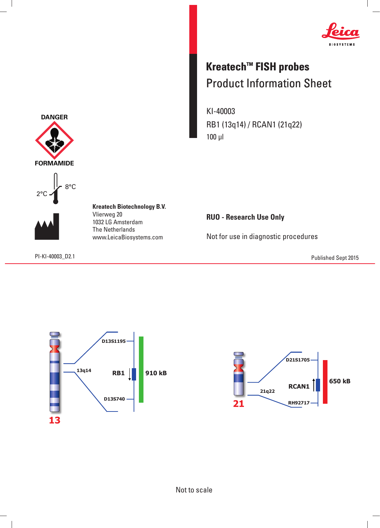

## **Kreatech™ FISH probes** Product Information Sheet

KI-40003 RB1 (13q14) / RCAN1 (21q22) 100 μl

**RUO - Research Use Only**

Not for use in diagnostic procedures

PI-KI-40003\_D2.1 Published Sept 2015







 $\overline{\phantom{a}}$ 

**Kreatech Biotechnology B.V.** Vlierweg 20 1032 LG Amsterdam The Netherlands www.LeicaBiosystems.com